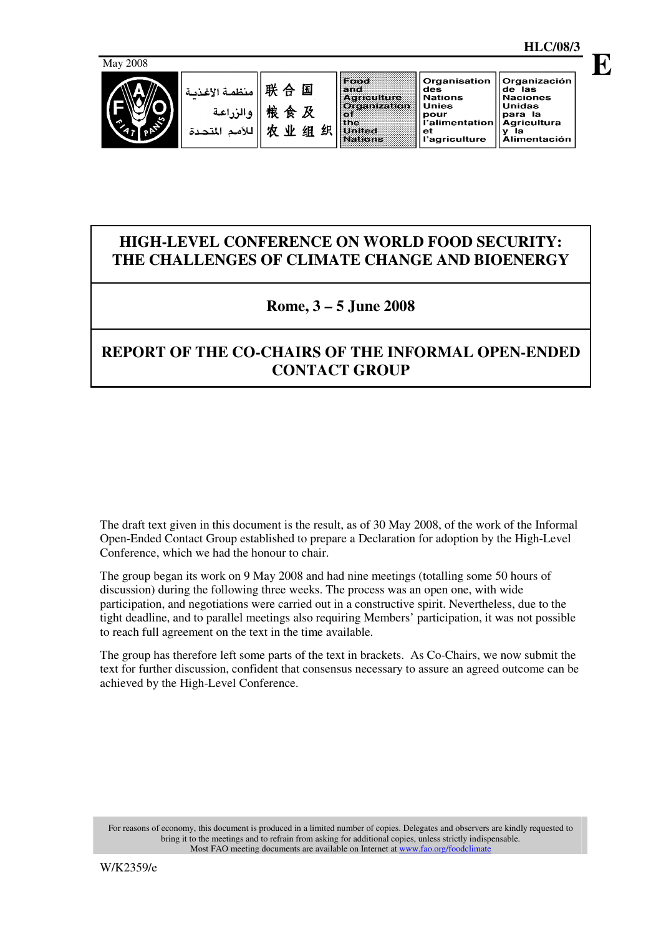Organización

de las<br>Naciones

**Agricultura**<br>v la

xgricultura<br>y la<br>Alimentación

Unidas

para la

**E**

# **HIGH-LEVEL CONFERENCE ON WORLD FOOD SECURITY: THE CHALLENGES OF CLIMATE CHANGE AND BIOENERGY**

# **Rome, 3 – 5 June 2008**

# **REPORT OF THE CO-CHAIRS OF THE INFORMAL OPEN-ENDED CONTACT GROUP**

The draft text given in this document is the result, as of 30 May 2008, of the work of the Informal Open-Ended Contact Group established to prepare a Declaration for adoption by the High-Level Conference, which we had the honour to chair.

The group began its work on 9 May 2008 and had nine meetings (totalling some 50 hours of discussion) during the following three weeks. The process was an open one, with wide participation, and negotiations were carried out in a constructive spirit. Nevertheless, due to the tight deadline, and to parallel meetings also requiring Members' participation, it was not possible to reach full agreement on the text in the time available.

The group has therefore left some parts of the text in brackets. As Co-Chairs, we now submit the text for further discussion, confident that consensus necessary to assure an agreed outcome can be achieved by the High-Level Conference.

For reasons of economy, this document is produced in a limited number of copies. Delegates and observers are kindly requested to bring it to the meetings and to refrain from asking for additional copies, unless strictly indispensable. Most FAO meeting documents are available on Internet at www.fao.org/foodclimate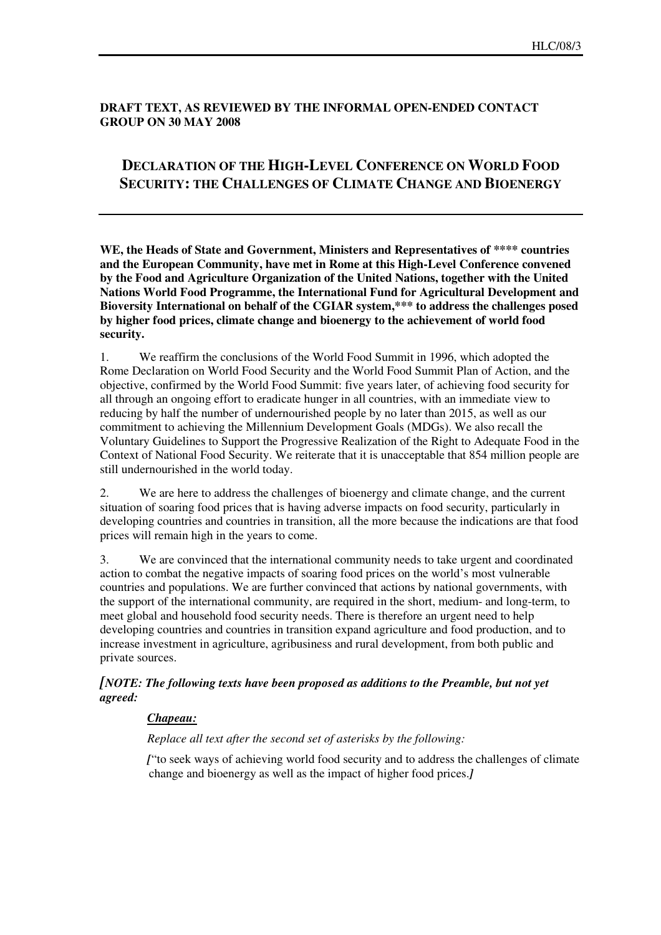## **DRAFT TEXT, AS REVIEWED BY THE INFORMAL OPEN-ENDED CONTACT GROUP ON 30 MAY 2008**

# **DECLARATION OF THE HIGH-LEVEL CONFERENCE ON WORLD FOOD SECURITY: THE CHALLENGES OF CLIMATE CHANGE AND BIOENERGY**

**WE, the Heads of State and Government, Ministers and Representatives of \*\*\*\* countries and the European Community, have met in Rome at this High-Level Conference convened by the Food and Agriculture Organization of the United Nations, together with the United Nations World Food Programme, the International Fund for Agricultural Development and Bioversity International on behalf of the CGIAR system,\*\*\* to address the challenges posed by higher food prices, climate change and bioenergy to the achievement of world food security.** 

1. We reaffirm the conclusions of the World Food Summit in 1996, which adopted the Rome Declaration on World Food Security and the World Food Summit Plan of Action, and the objective, confirmed by the World Food Summit: five years later, of achieving food security for all through an ongoing effort to eradicate hunger in all countries, with an immediate view to reducing by half the number of undernourished people by no later than 2015, as well as our commitment to achieving the Millennium Development Goals (MDGs). We also recall the Voluntary Guidelines to Support the Progressive Realization of the Right to Adequate Food in the Context of National Food Security. We reiterate that it is unacceptable that 854 million people are still undernourished in the world today.

2. We are here to address the challenges of bioenergy and climate change, and the current situation of soaring food prices that is having adverse impacts on food security, particularly in developing countries and countries in transition, all the more because the indications are that food prices will remain high in the years to come.

3. We are convinced that the international community needs to take urgent and coordinated action to combat the negative impacts of soaring food prices on the world's most vulnerable countries and populations. We are further convinced that actions by national governments, with the support of the international community, are required in the short, medium- and long-term, to meet global and household food security needs. There is therefore an urgent need to help developing countries and countries in transition expand agriculture and food production, and to increase investment in agriculture, agribusiness and rural development, from both public and private sources.

### *[NOTE: The following texts have been proposed as additions to the Preamble, but not yet agreed:*

#### *Chapeau:*

*Replace all text after the second set of asterisks by the following:*

*[*"to seek ways of achieving world food security and to address the challenges of climate change and bioenergy as well as the impact of higher food prices.*]*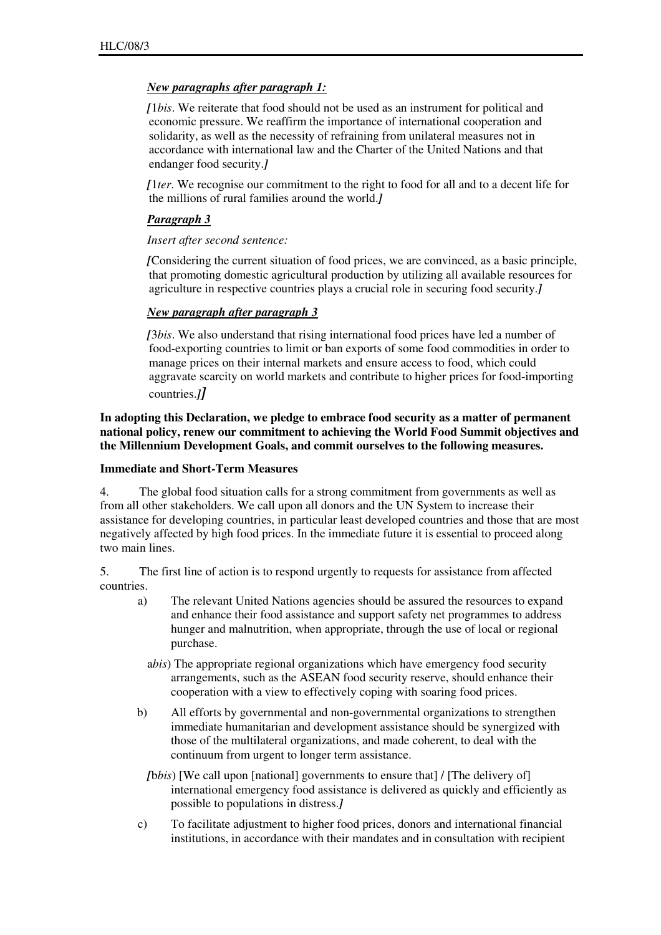### *New paragraphs after paragraph 1:*

*[*1*bis*. We reiterate that food should not be used as an instrument for political and economic pressure. We reaffirm the importance of international cooperation and solidarity, as well as the necessity of refraining from unilateral measures not in accordance with international law and the Charter of the United Nations and that endanger food security.*]*

*[*1*ter*. We recognise our commitment to the right to food for all and to a decent life for the millions of rural families around the world.*]*

### *Paragraph 3*

#### *Insert after second sentence:*

*[*Considering the current situation of food prices, we are convinced, as a basic principle, that promoting domestic agricultural production by utilizing all available resources for agriculture in respective countries plays a crucial role in securing food security.*]*

#### *New paragraph after paragraph 3*

*[*3*bis*. We also understand that rising international food prices have led a number of food-exporting countries to limit or ban exports of some food commodities in order to manage prices on their internal markets and ensure access to food, which could aggravate scarcity on world markets and contribute to higher prices for food-importing countries.*]]* 

**In adopting this Declaration, we pledge to embrace food security as a matter of permanent national policy, renew our commitment to achieving the World Food Summit objectives and the Millennium Development Goals, and commit ourselves to the following measures.** 

#### **Immediate and Short-Term Measures**

4. The global food situation calls for a strong commitment from governments as well as from all other stakeholders. We call upon all donors and the UN System to increase their assistance for developing countries, in particular least developed countries and those that are most negatively affected by high food prices. In the immediate future it is essential to proceed along two main lines.

5. The first line of action is to respond urgently to requests for assistance from affected countries.

- a) The relevant United Nations agencies should be assured the resources to expand and enhance their food assistance and support safety net programmes to address hunger and malnutrition, when appropriate, through the use of local or regional purchase.
	- a*bis*) The appropriate regional organizations which have emergency food security arrangements, such as the ASEAN food security reserve, should enhance their cooperation with a view to effectively coping with soaring food prices.
- b) All efforts by governmental and non-governmental organizations to strengthen immediate humanitarian and development assistance should be synergized with those of the multilateral organizations, and made coherent, to deal with the continuum from urgent to longer term assistance.
	- *[*b*bis*) [We call upon [national] governments to ensure that] / [The delivery of] international emergency food assistance is delivered as quickly and efficiently as possible to populations in distress.*]*
- c) To facilitate adjustment to higher food prices, donors and international financial institutions, in accordance with their mandates and in consultation with recipient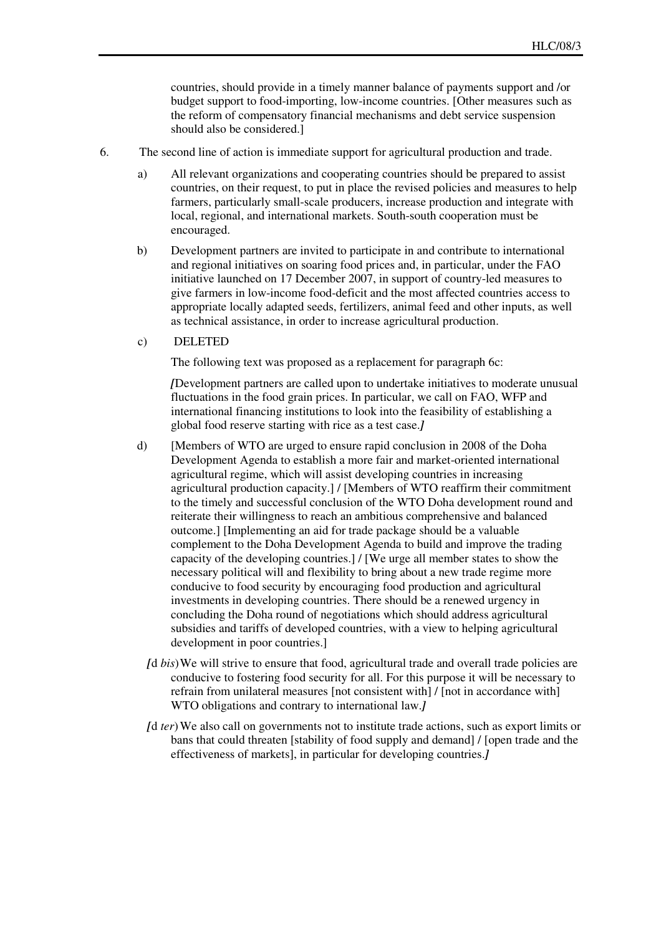countries, should provide in a timely manner balance of payments support and /or budget support to food-importing, low-income countries. [Other measures such as the reform of compensatory financial mechanisms and debt service suspension should also be considered.]

- 6. The second line of action is immediate support for agricultural production and trade.
	- a) All relevant organizations and cooperating countries should be prepared to assist countries, on their request, to put in place the revised policies and measures to help farmers, particularly small-scale producers, increase production and integrate with local, regional, and international markets. South-south cooperation must be encouraged.
	- b) Development partners are invited to participate in and contribute to international and regional initiatives on soaring food prices and, in particular, under the FAO initiative launched on 17 December 2007, in support of country-led measures to give farmers in low-income food-deficit and the most affected countries access to appropriate locally adapted seeds, fertilizers, animal feed and other inputs, as well as technical assistance, in order to increase agricultural production.
	- c) DELETED

The following text was proposed as a replacement for paragraph 6c:

 *[*Development partners are called upon to undertake initiatives to moderate unusual fluctuations in the food grain prices. In particular, we call on FAO, WFP and international financing institutions to look into the feasibility of establishing a global food reserve starting with rice as a test case.*]* 

- d) [Members of WTO are urged to ensure rapid conclusion in 2008 of the Doha Development Agenda to establish a more fair and market-oriented international agricultural regime, which will assist developing countries in increasing agricultural production capacity.] / [Members of WTO reaffirm their commitment to the timely and successful conclusion of the WTO Doha development round and reiterate their willingness to reach an ambitious comprehensive and balanced outcome.] [Implementing an aid for trade package should be a valuable complement to the Doha Development Agenda to build and improve the trading capacity of the developing countries.] / [We urge all member states to show the necessary political will and flexibility to bring about a new trade regime more conducive to food security by encouraging food production and agricultural investments in developing countries. There should be a renewed urgency in concluding the Doha round of negotiations which should address agricultural subsidies and tariffs of developed countries, with a view to helping agricultural development in poor countries.]
	- *[*d *bis*) We will strive to ensure that food, agricultural trade and overall trade policies are conducive to fostering food security for all. For this purpose it will be necessary to refrain from unilateral measures [not consistent with] / [not in accordance with] WTO obligations and contrary to international law.*]*
	- *[*d *ter*) We also call on governments not to institute trade actions, such as export limits or bans that could threaten [stability of food supply and demand] / [open trade and the effectiveness of markets], in particular for developing countries.*]*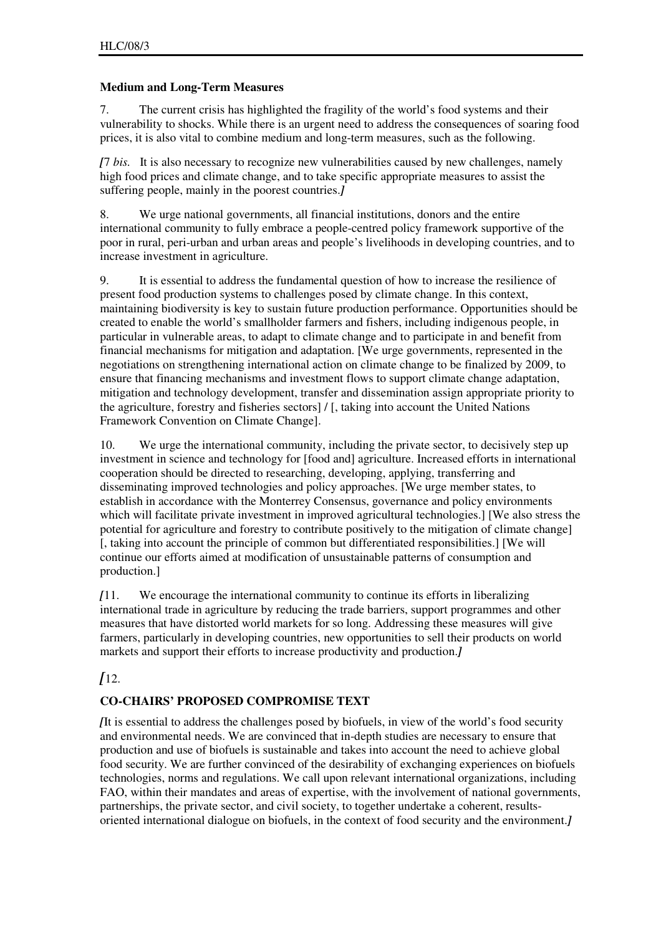## **Medium and Long-Term Measures**

7. The current crisis has highlighted the fragility of the world's food systems and their vulnerability to shocks. While there is an urgent need to address the consequences of soaring food prices, it is also vital to combine medium and long-term measures, such as the following.

*[*7 *bis.* It is also necessary to recognize new vulnerabilities caused by new challenges, namely high food prices and climate change, and to take specific appropriate measures to assist the suffering people, mainly in the poorest countries.*]* 

8. We urge national governments, all financial institutions, donors and the entire international community to fully embrace a people-centred policy framework supportive of the poor in rural, peri-urban and urban areas and people's livelihoods in developing countries, and to increase investment in agriculture.

9. It is essential to address the fundamental question of how to increase the resilience of present food production systems to challenges posed by climate change. In this context, maintaining biodiversity is key to sustain future production performance. Opportunities should be created to enable the world's smallholder farmers and fishers, including indigenous people, in particular in vulnerable areas, to adapt to climate change and to participate in and benefit from financial mechanisms for mitigation and adaptation. [We urge governments, represented in the negotiations on strengthening international action on climate change to be finalized by 2009, to ensure that financing mechanisms and investment flows to support climate change adaptation, mitigation and technology development, transfer and dissemination assign appropriate priority to the agriculture, forestry and fisheries sectors] / [, taking into account the United Nations Framework Convention on Climate Change].

10. We urge the international community, including the private sector, to decisively step up investment in science and technology for [food and] agriculture. Increased efforts in international cooperation should be directed to researching, developing, applying, transferring and disseminating improved technologies and policy approaches. [We urge member states, to establish in accordance with the Monterrey Consensus, governance and policy environments which will facilitate private investment in improved agricultural technologies.] [We also stress the potential for agriculture and forestry to contribute positively to the mitigation of climate change] [, taking into account the principle of common but differentiated responsibilities.] [We will continue our efforts aimed at modification of unsustainable patterns of consumption and production.]

*[*11. We encourage the international community to continue its efforts in liberalizing international trade in agriculture by reducing the trade barriers, support programmes and other measures that have distorted world markets for so long. Addressing these measures will give farmers, particularly in developing countries, new opportunities to sell their products on world markets and support their efforts to increase productivity and production.*]*

*[*12.

# **CO-CHAIRS' PROPOSED COMPROMISE TEXT**

*[*It is essential to address the challenges posed by biofuels, in view of the world's food security and environmental needs. We are convinced that in-depth studies are necessary to ensure that production and use of biofuels is sustainable and takes into account the need to achieve global food security. We are further convinced of the desirability of exchanging experiences on biofuels technologies, norms and regulations. We call upon relevant international organizations, including FAO, within their mandates and areas of expertise, with the involvement of national governments, partnerships, the private sector, and civil society, to together undertake a coherent, resultsoriented international dialogue on biofuels, in the context of food security and the environment.*]*